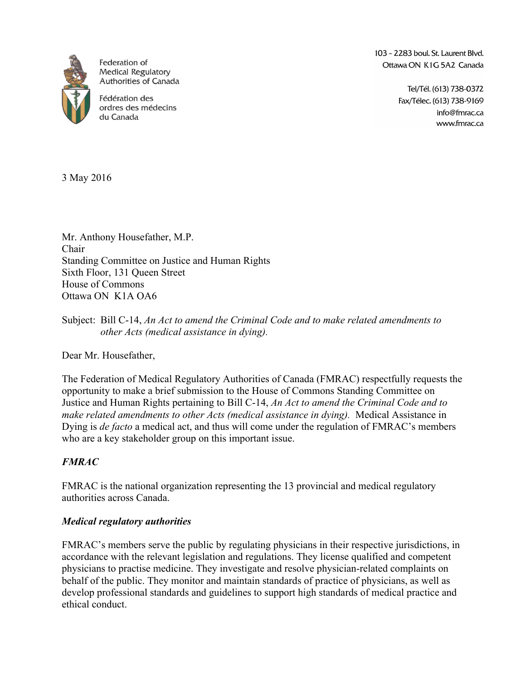

Federation of **Medical Regulatory** Authorities of Canada

Fédération des ordres des médecins du Canada

103 - 2283 boul. St. Laurent Blyd. Ottawa ON K1G 5A2 Canada

> Tel/Tél. (613) 738-0372 Fax/Télec. (613) 738-9169 info@fmrac.ca www.fmrac.ca

3 May 2016

Mr. Anthony Housefather, M.P. Chair Standing Committee on Justice and Human Rights Sixth Floor, 131 Queen Street House of Commons Ottawa ON K1A OA6

Dear Mr. Housefather,

The Federation of Medical Regulatory Authorities of Canada (FMRAC) respectfully requests the opportunity to make a brief submission to the House of Commons Standing Committee on Justice and Human Rights pertaining to Bill C-14, *An Act to amend the Criminal Code and to make related amendments to other Acts (medical assistance in dying).* Medical Assistance in Dying is *de facto* a medical act, and thus will come under the regulation of FMRAC's members who are a key stakeholder group on this important issue.

## *FMRAC*

FMRAC is the national organization representing the 13 provincial and medical regulatory authorities across Canada.

## *Medical regulatory authorities*

FMRAC's members serve the public by regulating physicians in their respective jurisdictions, in accordance with the relevant legislation and regulations. They license qualified and competent physicians to practise medicine. They investigate and resolve physician-related complaints on behalf of the public. They monitor and maintain standards of practice of physicians, as well as develop professional standards and guidelines to support high standards of medical practice and ethical conduct.

Subject: Bill C-14, *An Act to amend the Criminal Code and to make related amendments to other Acts (medical assistance in dying).*